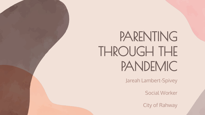# PARENTING THROUGH THE PANDEMIC

Jareah Lambert-Spivey

Social Worker

City of Rahway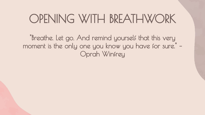## OPENING WITH BREATHWORK

"Breathe. Let go. And remind yourself that this very moment is the only one you know you have for sure." – Oprah Winfrey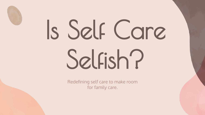# Is Self Care Selfish?

Redefining self care to make room for family care.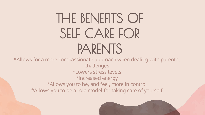# THE BENEFITS OF SELF CARE FOR PARENTS

\*Allows for a more compassionate approach when dealing with parental challenges \*Lowers stress levels \*Increased energy \*Allows you to be, and feel, more in control \*Allows you to be a role model for taking care of yourself

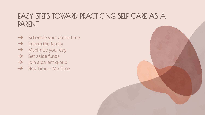#### EASY STEPS TOWARD PRACTICING SELF CARE AS A PARENT

- $\rightarrow$  Schedule your alone time
- $\rightarrow$  Inform the family
- **→** Maximize your day
- $\rightarrow$  Set aside funds
- $\rightarrow$  Join a parent group
- $\rightarrow$  Bed Time = Me Time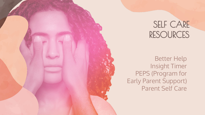#### SELF CARE RESOURCES

Better Help Insight Timer PEPS (Program for Early Parent Support) Parent Self Care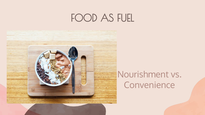### FOOD AS FUEL



#### Nourishment vs. Convenience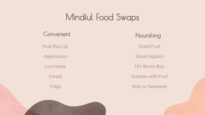#### Mindful Food Swaps

Convenient Nourishing Fruit Roll Up Applesauce Lunchable **Cereal** 

**Chips** 

Dried Fruit Sliced Apples DIY Bento Box Granola with Fruit Nuts or Seaweed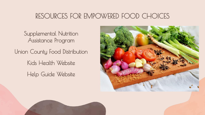#### RESOURCES FOR EMPOWERED FOOD CHOICES

Supplemental Nutrition Assistance Program Union County Food Distribution Kids Health Website Help Guide Website

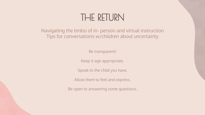#### THE RETURN

Navigating the limbo of in- person and virtual instruction Tips for conversations w/children about uncertainty

Be transparent!

Keep it age appropriate.

Speak to the child you have.

Allow them to feel and express.

Be open to answering some questions.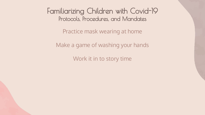Familiarizing Children with Covid-19 Protocols, Procedures, and Mandates

Practice mask wearing at home

Make a game of washing your hands

Work it in to story time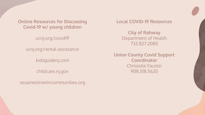**Online Resources for Discussing Covid-19 w/ young children**

ucnj.org/covid19

ucnj.org/rental-assistance

kidsguidenj.com

childcare.nj.gov

sesamestreetincommunities.org

**Local COVID-19 Resources**

**City of Rahway** Department of Health 732.827.2085

**Union County Covid Support Coordinator**  Christelle Faustin 908.518.5620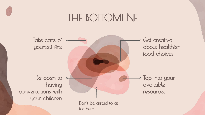#### THE BOTTOMLINE

Take care of  $\circ$ yourself first Get creative about healthier food choices Be open to  $\circ$ having conversations with your children  $\bullet$  Tap into your available resources Don't be afraid to ask for help!